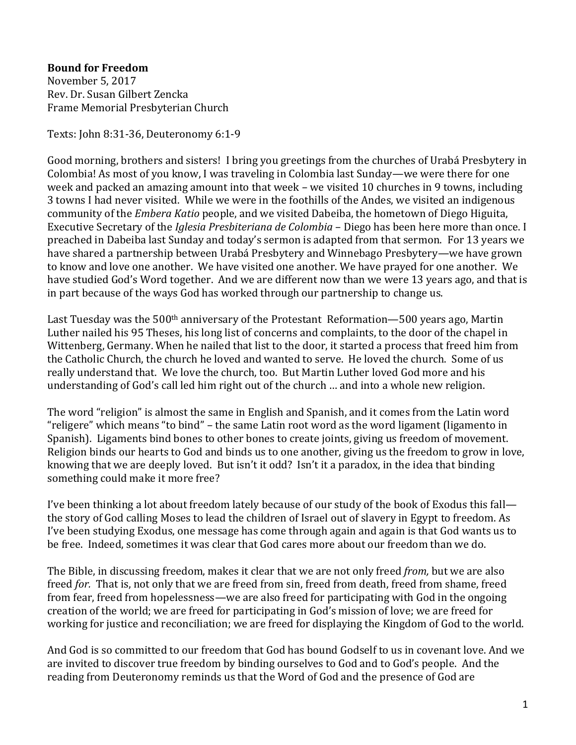## **Bound for Freedom**

November 5, 2017 Rev. Dr. Susan Gilbert Zencka Frame Memorial Presbyterian Church

Texts: John 8:31-36, Deuteronomy 6:1-9

Good morning, brothers and sisters! I bring you greetings from the churches of Urabá Presbytery in Colombia! As most of you know, I was traveling in Colombia last Sunday—we were there for one week and packed an amazing amount into that week – we visited 10 churches in 9 towns, including 3 towns I had never visited. While we were in the foothills of the Andes, we visited an indigenous community of the *Embera Katio* people, and we visited Dabeiba, the hometown of Diego Higuita, Executive Secretary of the *Iglesia Presbiteriana de Colombia* – Diego has been here more than once. I preached in Dabeiba last Sunday and today's sermon is adapted from that sermon. For 13 years we have shared a partnership between Urabá Presbytery and Winnebago Presbytery—we have grown to know and love one another. We have visited one another. We have prayed for one another. We have studied God's Word together. And we are different now than we were 13 years ago, and that is in part because of the ways God has worked through our partnership to change us.

Last Tuesday was the  $500<sup>th</sup>$  anniversary of the Protestant Reformation—500 years ago, Martin Luther nailed his 95 Theses, his long list of concerns and complaints, to the door of the chapel in Wittenberg, Germany. When he nailed that list to the door, it started a process that freed him from the Catholic Church, the church he loved and wanted to serve. He loved the church. Some of us really understand that. We love the church, too. But Martin Luther loved God more and his understanding of God's call led him right out of the church … and into a whole new religion.

The word "religion" is almost the same in English and Spanish, and it comes from the Latin word "religere" which means "to bind" – the same Latin root word as the word ligament (ligamento in Spanish). Ligaments bind bones to other bones to create joints, giving us freedom of movement. Religion binds our hearts to God and binds us to one another, giving us the freedom to grow in love, knowing that we are deeply loved. But isn't it odd? Isn't it a paradox, in the idea that binding something could make it more free?

I've been thinking a lot about freedom lately because of our study of the book of Exodus this fall the story of God calling Moses to lead the children of Israel out of slavery in Egypt to freedom. As I've been studying Exodus, one message has come through again and again is that God wants us to be free. Indeed, sometimes it was clear that God cares more about our freedom than we do.

The Bible, in discussing freedom, makes it clear that we are not only freed *from,* but we are also freed *for.* That is, not only that we are freed from sin, freed from death, freed from shame, freed from fear, freed from hopelessness—we are also freed for participating with God in the ongoing creation of the world; we are freed for participating in God's mission of love; we are freed for working for justice and reconciliation; we are freed for displaying the Kingdom of God to the world.

And God is so committed to our freedom that God has bound Godself to us in covenant love. And we are invited to discover true freedom by binding ourselves to God and to God's people. And the reading from Deuteronomy reminds us that the Word of God and the presence of God are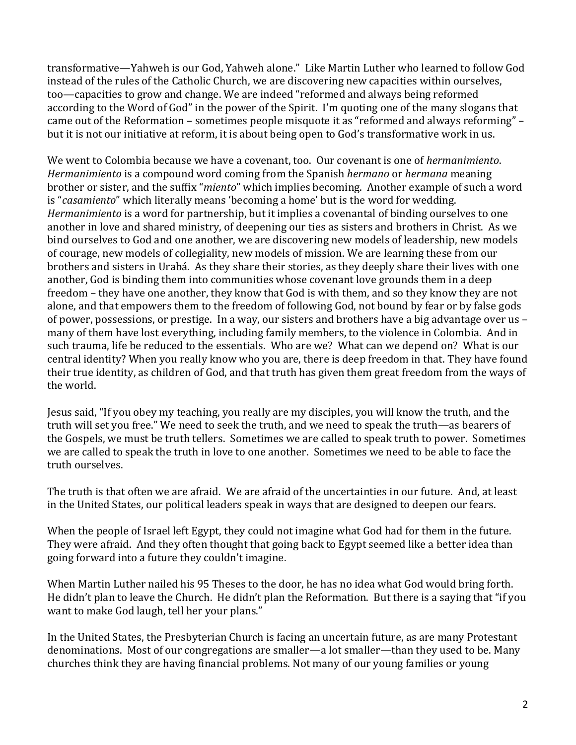transformative—Yahweh is our God, Yahweh alone." Like Martin Luther who learned to follow God instead of the rules of the Catholic Church, we are discovering new capacities within ourselves, too—capacities to grow and change. We are indeed "reformed and always being reformed according to the Word of God" in the power of the Spirit. I'm quoting one of the many slogans that came out of the Reformation – sometimes people misquote it as "reformed and always reforming" – but it is not our initiative at reform, it is about being open to God's transformative work in us.

We went to Colombia because we have a covenant, too. Our covenant is one of *hermanimiento*. *Hermanimiento* is a compound word coming from the Spanish *hermano* or *hermana* meaning brother or sister, and the suffix "*miento*" which implies becoming. Another example of such a word is "*casamiento*" which literally means 'becoming a home' but is the word for wedding. *Hermanimiento* is a word for partnership, but it implies a covenantal of binding ourselves to one another in love and shared ministry, of deepening our ties as sisters and brothers in Christ. As we bind ourselves to God and one another, we are discovering new models of leadership, new models of courage, new models of collegiality, new models of mission. We are learning these from our brothers and sisters in Urabá. As they share their stories, as they deeply share their lives with one another, God is binding them into communities whose covenant love grounds them in a deep freedom – they have one another, they know that God is with them, and so they know they are not alone, and that empowers them to the freedom of following God, not bound by fear or by false gods of power, possessions, or prestige. In a way, our sisters and brothers have a big advantage over us – many of them have lost everything, including family members, to the violence in Colombia. And in such trauma, life be reduced to the essentials. Who are we? What can we depend on? What is our central identity? When you really know who you are, there is deep freedom in that. They have found their true identity, as children of God, and that truth has given them great freedom from the ways of the world.

Jesus said, "If you obey my teaching, you really are my disciples, you will know the truth, and the truth will set you free." We need to seek the truth, and we need to speak the truth—as bearers of the Gospels, we must be truth tellers. Sometimes we are called to speak truth to power. Sometimes we are called to speak the truth in love to one another. Sometimes we need to be able to face the truth ourselves.

The truth is that often we are afraid. We are afraid of the uncertainties in our future. And, at least in the United States, our political leaders speak in ways that are designed to deepen our fears.

When the people of Israel left Egypt, they could not imagine what God had for them in the future. They were afraid. And they often thought that going back to Egypt seemed like a better idea than going forward into a future they couldn't imagine.

When Martin Luther nailed his 95 Theses to the door, he has no idea what God would bring forth. He didn't plan to leave the Church. He didn't plan the Reformation. But there is a saying that "if you want to make God laugh, tell her your plans."

In the United States, the Presbyterian Church is facing an uncertain future, as are many Protestant denominations. Most of our congregations are smaller—a lot smaller—than they used to be. Many churches think they are having financial problems. Not many of our young families or young